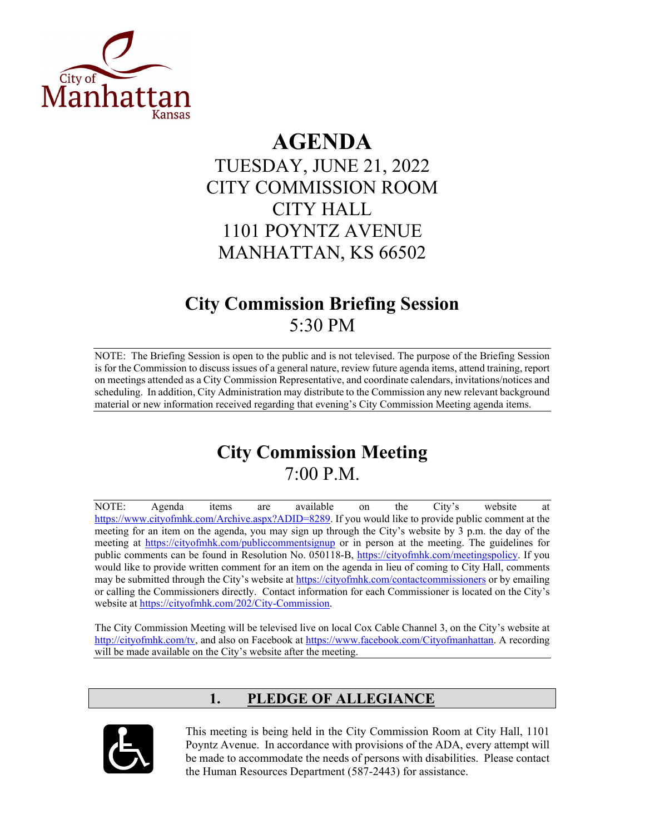

# **AGENDA**

## TUESDAY, JUNE 21, 2022 CITY COMMISSION ROOM CITY HALL 1101 POYNTZ AVENUE MANHATTAN, KS 66502

## **City Commission Briefing Session**  5:30 PM

NOTE: The Briefing Session is open to the public and is not televised. The purpose of the Briefing Session is for the Commission to discuss issues of a general nature, review future agenda items, attend training, report on meetings attended as a City Commission Representative, and coordinate calendars, invitations/notices and scheduling. In addition, City Administration may distribute to the Commission any new relevant background material or new information received regarding that evening's City Commission Meeting agenda items.

## **City Commission Meeting**  7:00 P.M.

NOTE: Agenda items are available on the City's website at [https://www.cityofmhk.com/Archive.aspx?ADID=8289.](https://www.cityofmhk.com/Archive.aspx?ADID=8289) If you would like to provide public comment at the meeting for an item on the agenda, you may sign up through the City's website by 3 p.m. the day of the meeting at<https://cityofmhk.com/publiccommentsignup> or in person at the meeting. The guidelines for public comments can be found in Resolution No. 050118-B, [https://cityofmhk.com/meetingspolicy.](https://cityofmhk.com/meetingspolicy) If you would like to provide written comment for an item on the agenda in lieu of coming to City Hall, comments may be submitted through the City's website at<https://cityofmhk.com/contactcommissioners> or by emailing or calling the Commissioners directly. Contact information for each Commissioner is located on the City's website at [https://cityofmhk.com/202/City-Commission.](https://cityofmhk.com/202/City-Commission)

The City Commission Meeting will be televised live on local Cox Cable Channel 3, on the City's website at [http://cityofmhk.com/tv,](http://cityofmhk.com/tv) and also on Facebook at [https://www.facebook.com/Cityofmanhattan.](https://www.facebook.com/Cityofmanhattan) A recording will be made available on the City's website after the meeting.

## **1. PLEDGE OF ALLEGIANCE**



This meeting is being held in the City Commission Room at City Hall, 1101 Poyntz Avenue. In accordance with provisions of the ADA, every attempt will be made to accommodate the needs of persons with disabilities. Please contact the Human Resources Department (587-2443) for assistance.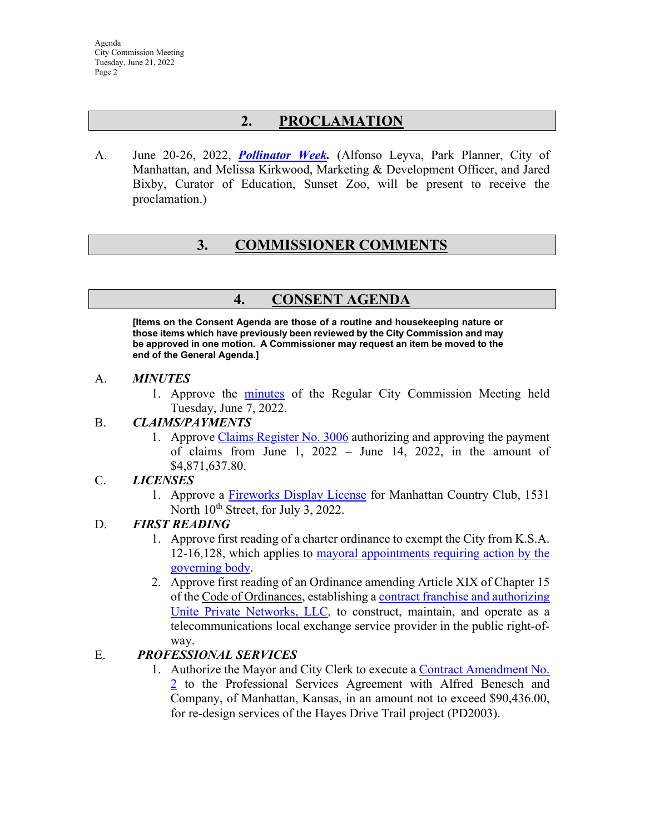### **2. PROCLAMATION**

A. June 20-26, 2022, *[Pollinator Week.](https://manhattanks.sharepoint.com/:b:/s/CommissionPacket/EbItNgYLpAJEic1ImyvERSIB1jH5GzN0IYIj4JAeptBpzg?e=zgpdXS)* (Alfonso Leyva, Park Planner, City of Manhattan, and Melissa Kirkwood, Marketing & Development Officer, and Jared Bixby, Curator of Education, Sunset Zoo, will be present to receive the proclamation.)

### **3. COMMISSIONER COMMENTS**

### **4. CONSENT AGENDA**

**[Items on the Consent Agenda are those of a routine and housekeeping nature or those items which have previously been reviewed by the City Commission and may be approved in one motion. A Commissioner may request an item be moved to the end of the General Agenda.]** 

#### A. *MINUTES*

1. Approve the [minutes](https://manhattanks.sharepoint.com/:b:/s/CommissionPacket/EZ4KQsUNs_pBkaIbcux0RIYBFkwLd2YPMcJ8kFFJBnibmw?e=EdDtaq) of the Regular City Commission Meeting held Tuesday, June 7, 2022.

#### B. *CLAIMS/PAYMENTS*

1. Approve [Claims Register No. 3006](https://manhattanks.sharepoint.com/:b:/s/CommissionPacket/Ef39UNzCXe5JkXG3WxADyy8BT-sqZEe4kqf_EkL8t3LdCw?e=qd6DbI) authorizing and approving the payment of claims from June 1, 2022 – June 14, 2022, in the amount of \$4,871,637.80.

#### C. *LICENSES*

1. Approve a [Fireworks Display License](https://manhattanks.sharepoint.com/:b:/s/CommissionPacket/EXzTG1SHk3hPpMAh7Twd0sgBPafYAHRrE4TeHnR7tsFLfQ?e=yePKh9) for Manhattan Country Club, 1531 North  $10^{th}$  Street, for July 3, 2022.

#### D. *FIRST READING*

- 1. Approve first reading of a charter ordinance to exempt the City from K.S.A. 12-16,128, which applies to [mayoral appointments requiring action by](https://manhattanks.sharepoint.com/:b:/s/CommissionPacket/Ef5AQIQVV2NNjk772BxQrWcBaS2FcysZ3tx65vqeSvJNiA?e=A7tQmE) the [governing body.](https://manhattanks.sharepoint.com/:b:/s/CommissionPacket/Ef5AQIQVV2NNjk772BxQrWcBaS2FcysZ3tx65vqeSvJNiA?e=A7tQmE)
- 2. Approve first reading of an Ordinance amending Article XIX of Chapter 15 of the Code of Ordinances, establishing a [contract franchise and authorizing](https://manhattanks.sharepoint.com/:b:/s/CommissionPacket/EUbV0wxxOjxGnToTxCBZGvsBRW99JjcVEk7bseDeW6n5TQ?e=WL5GCT) [Unite Private Networks, LLC,](https://manhattanks.sharepoint.com/:b:/s/CommissionPacket/EUbV0wxxOjxGnToTxCBZGvsBRW99JjcVEk7bseDeW6n5TQ?e=WL5GCT) to construct, maintain, and operate as a telecommunications local exchange service provider in the public right-ofway.

#### E. *PROFESSIONAL SERVICES*

1. Authorize the Mayor and City Clerk to execute a [Contract Amendment No.](https://manhattanks.sharepoint.com/:b:/s/CommissionPacket/EWJXB-0GSnxKs5ewD7-HUr4BAk5YfSEJpf0PFEUbsUDGAA?e=sowEpZ) [2](https://manhattanks.sharepoint.com/:b:/s/CommissionPacket/EWJXB-0GSnxKs5ewD7-HUr4BAk5YfSEJpf0PFEUbsUDGAA?e=sowEpZ) to the Professional Services Agreement with Alfred Benesch and Company, of Manhattan, Kansas, in an amount not to exceed \$90,436.00, for re-design services of the Hayes Drive Trail project (PD2003).